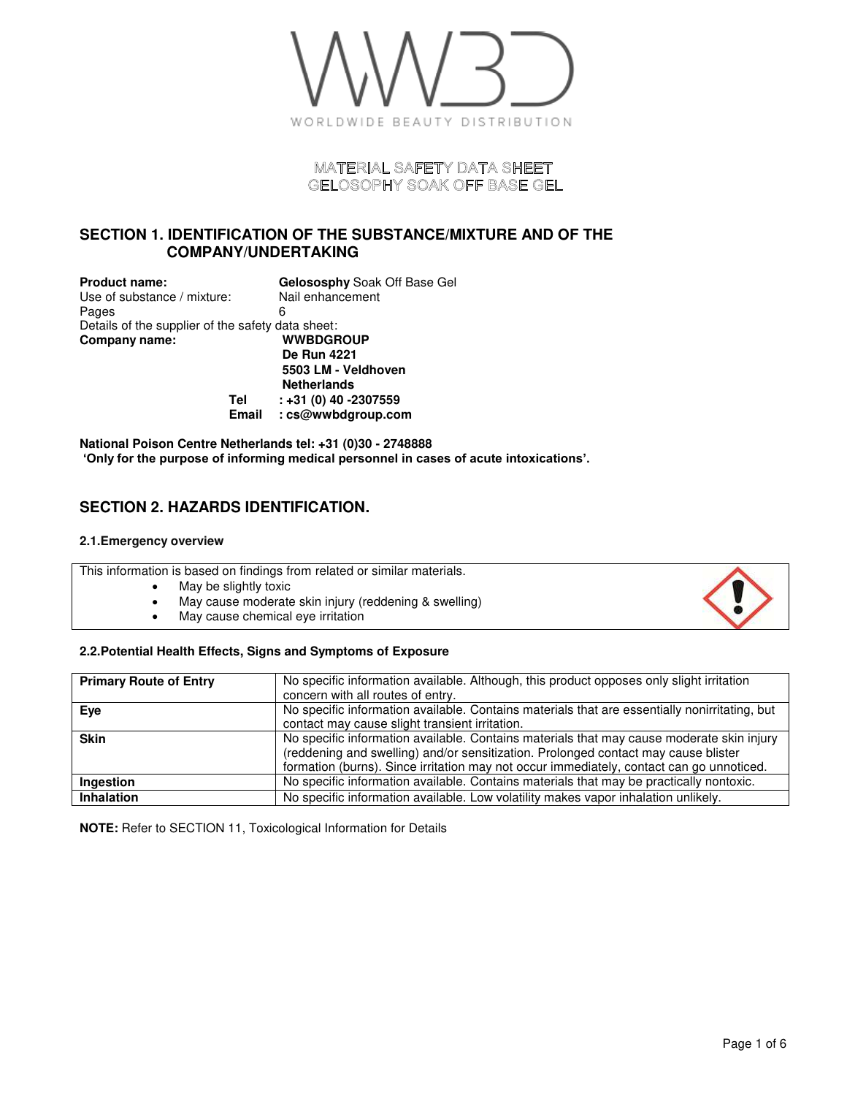

# MATERIAL SAFETY DATA SHEET GELOSOPHY SOAK OFF BASE GEL

# **SECTION 1. IDENTIFICATION OF THE SUBSTANCE/MIXTURE AND OF THE COMPANY/UNDERTAKING**

| <b>Product name:</b>                              | Gelososphy Soak Off Base Gel |
|---------------------------------------------------|------------------------------|
| Use of substance / mixture:                       | Nail enhancement             |
| Pages                                             | 6                            |
| Details of the supplier of the safety data sheet: |                              |
| Company name:                                     | <b>WWBDGROUP</b>             |
|                                                   | <b>De Run 4221</b>           |
|                                                   | 5503 LM - Veldhoven          |
|                                                   | <b>Netherlands</b>           |
| Tel                                               | $: +31(0)$ 40 -2307559       |
| <b>Email</b>                                      | : cs@wwbdgroup.com           |

**National Poison Centre Netherlands tel: +31 (0)30 - 2748888 'Only for the purpose of informing medical personnel in cases of acute intoxications'.**

# **SECTION 2. HAZARDS IDENTIFICATION.**

#### **2.1.Emergency overview**

This information is based on findings from related or similar materials.

- May be slightly toxic
- May cause moderate skin injury (reddening & swelling)
- May cause chemical eye irritation

### **2.2.Potential Health Effects, Signs and Symptoms of Exposure**

| <b>Primary Route of Entry</b> | No specific information available. Although, this product opposes only slight irritation<br>concern with all routes of entry.                                                                                                                                               |
|-------------------------------|-----------------------------------------------------------------------------------------------------------------------------------------------------------------------------------------------------------------------------------------------------------------------------|
| Eye                           | No specific information available. Contains materials that are essentially nonirritating, but<br>contact may cause slight transient irritation.                                                                                                                             |
| <b>Skin</b>                   | No specific information available. Contains materials that may cause moderate skin injury<br>(reddening and swelling) and/or sensitization. Prolonged contact may cause blister<br>formation (burns). Since irritation may not occur immediately, contact can go unnoticed. |
| Ingestion                     | No specific information available. Contains materials that may be practically nontoxic.                                                                                                                                                                                     |
| <b>Inhalation</b>             | No specific information available. Low volatility makes vapor inhalation unlikely.                                                                                                                                                                                          |

**NOTE:** Refer to SECTION 11, Toxicological Information for Details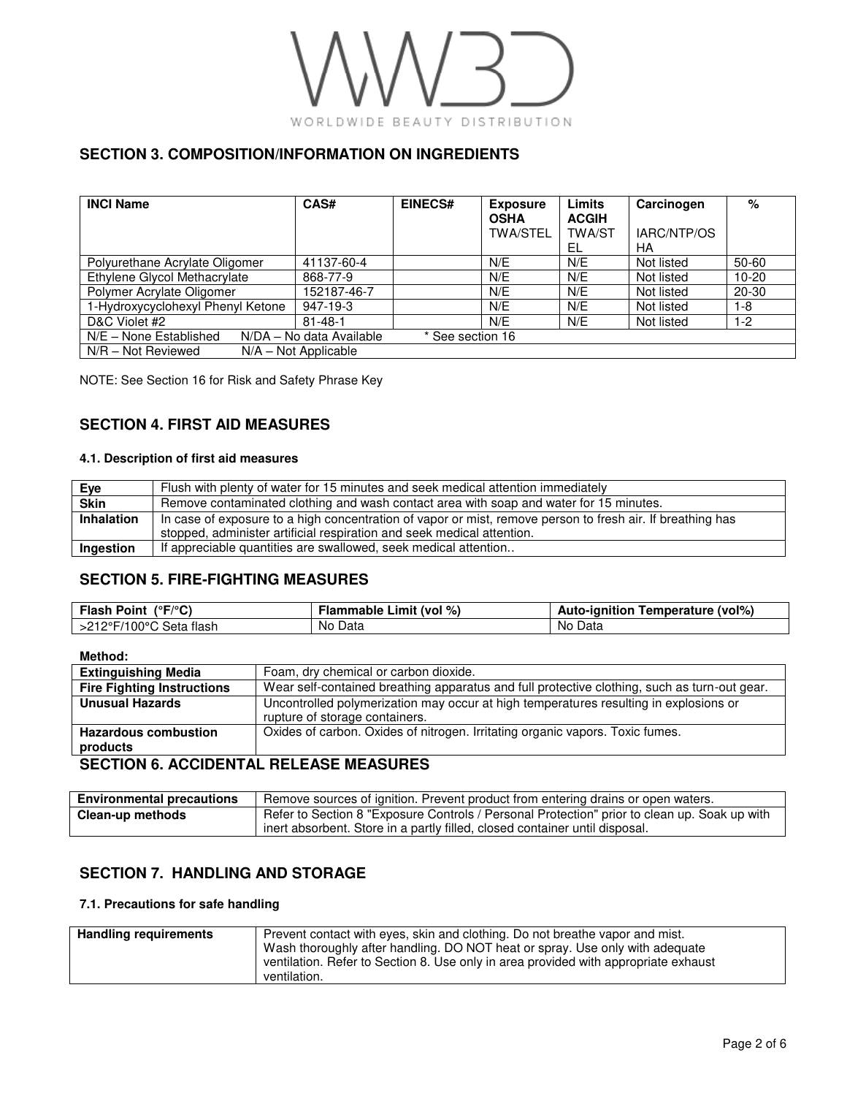

# **SECTION 3. COMPOSITION/INFORMATION ON INGREDIENTS**

| <b>INCI Name</b>                                                       | CAS#          | <b>EINECS#</b> | <b>Exposure</b><br><b>OSHA</b><br><b>TWA/STEL</b> | Limits<br><b>ACGIH</b><br><b>TWA/ST</b><br>EL | Carcinogen<br>IARC/NTP/OS<br>НA | %         |
|------------------------------------------------------------------------|---------------|----------------|---------------------------------------------------|-----------------------------------------------|---------------------------------|-----------|
| Polyurethane Acrylate Oligomer                                         | 41137-60-4    |                | N/E                                               | N/E                                           | Not listed                      | 50-60     |
| Ethylene Glycol Methacrylate                                           | 868-77-9      |                | N/E                                               | N/E                                           | Not listed                      | $10 - 20$ |
| Polymer Acrylate Oligomer                                              | 152187-46-7   |                | N/E                                               | N/E                                           | Not listed                      | $20 - 30$ |
| 1-Hydroxycyclohexyl Phenyl Ketone                                      | 947-19-3      |                | N/E                                               | N/E                                           | Not listed                      | 1-8       |
| D&C Violet #2                                                          | $81 - 48 - 1$ |                | N/E                                               | N/E                                           | Not listed                      | $1-2$     |
| N/E - None Established<br>N/DA - No data Available<br>* See section 16 |               |                |                                                   |                                               |                                 |           |
| $N/R - Not$ Reviewed<br>$N/A - Not Applicable$                         |               |                |                                                   |                                               |                                 |           |

NOTE: See Section 16 for Risk and Safety Phrase Key

# **SECTION 4. FIRST AID MEASURES**

### **4.1. Description of first aid measures**

| Eye         | Flush with plenty of water for 15 minutes and seek medical attention immediately                           |
|-------------|------------------------------------------------------------------------------------------------------------|
| <b>Skin</b> | Remove contaminated clothing and wash contact area with soap and water for 15 minutes.                     |
| Inhalation  | In case of exposure to a high concentration of vapor or mist, remove person to fresh air. If breathing has |
|             | stopped, administer artificial respiration and seek medical attention.                                     |
| Ingestion   | If appreciable quantities are swallowed, seek medical attention                                            |

# **SECTION 5. FIRE-FIGHTING MEASURES**

| ( $\degree$ F/ $\degree$ C)<br><b>Flash Point</b> | Flammable Limit (vol %) | Temperature (vol%)<br>Auto-ignition |
|---------------------------------------------------|-------------------------|-------------------------------------|
| >212°F/100°C Seta flash                           | No<br>Data              | No Data                             |

**Method:** 

| <b>Extinguishing Media</b>              | Foam, dry chemical or carbon dioxide.                                                        |  |
|-----------------------------------------|----------------------------------------------------------------------------------------------|--|
| <b>Fire Fighting Instructions</b>       | Wear self-contained breathing apparatus and full protective clothing, such as turn-out gear. |  |
| <b>Unusual Hazards</b>                  | Uncontrolled polymerization may occur at high temperatures resulting in explosions or        |  |
|                                         | rupture of storage containers.                                                               |  |
| <b>Hazardous combustion</b>             | Oxides of carbon. Oxides of nitrogen. Irritating organic vapors. Toxic fumes.                |  |
| products                                |                                                                                              |  |
| CECTION C. ACCIDENTAL DELEACE MEACHINES |                                                                                              |  |

### **SECTION 6. ACCIDENTAL RELEASE MEASURES**

| <b>Environmental precautions</b> | Remove sources of ignition. Prevent product from entering drains or open waters.             |
|----------------------------------|----------------------------------------------------------------------------------------------|
| Clean-up methods                 | Refer to Section 8 "Exposure Controls / Personal Protection" prior to clean up. Soak up with |
|                                  | <sup>1</sup> inert absorbent. Store in a partly filled, closed container until disposal.     |

### **SECTION 7. HANDLING AND STORAGE**

#### **7.1. Precautions for safe handling**

| <b>Handling requirements</b> | Prevent contact with eyes, skin and clothing. Do not breathe vapor and mist.<br>Wash thoroughly after handling. DO NOT heat or spray. Use only with adequate |
|------------------------------|--------------------------------------------------------------------------------------------------------------------------------------------------------------|
|                              | ventilation. Refer to Section 8. Use only in area provided with appropriate exhaust<br>ventilation.                                                          |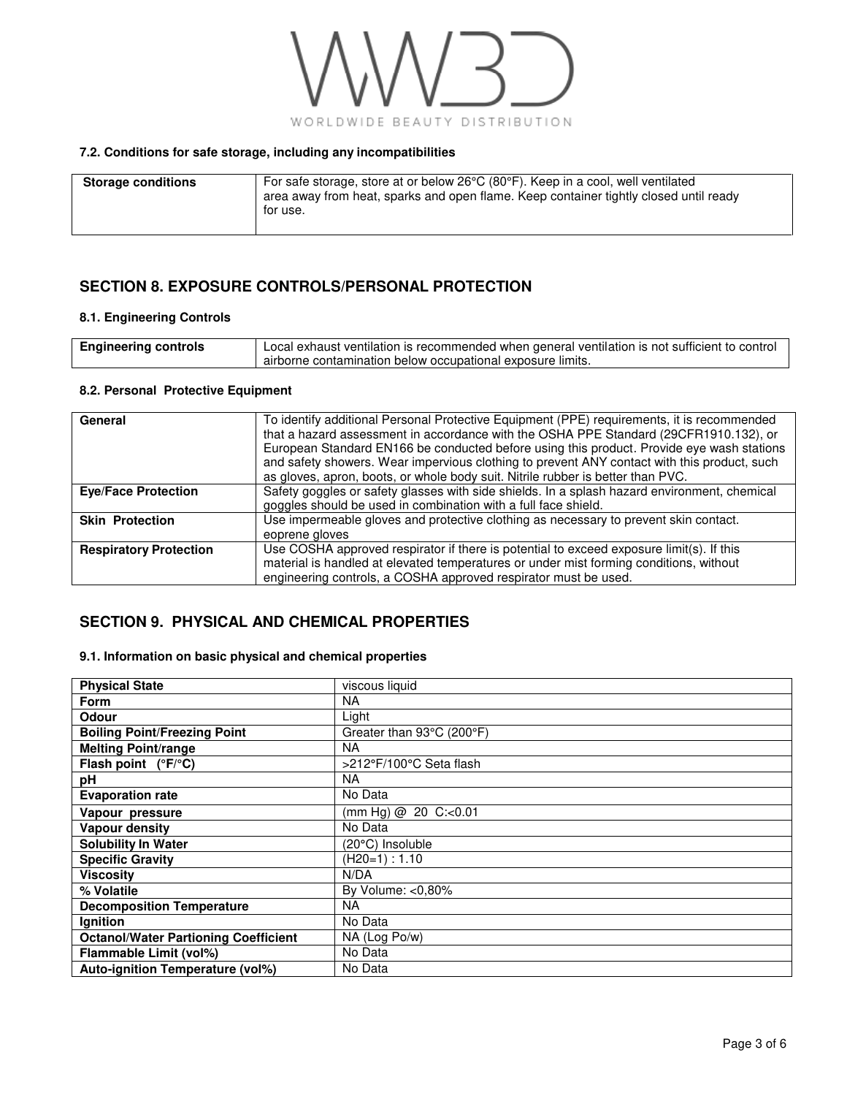

### **7.2. Conditions for safe storage, including any incompatibilities**

| <b>Storage conditions</b> | For safe storage, store at or below $26^{\circ}C(80^{\circ}F)$ . Keep in a cool, well ventilated<br>area away from heat, sparks and open flame. Keep container tightly closed until ready<br>for use. |
|---------------------------|-------------------------------------------------------------------------------------------------------------------------------------------------------------------------------------------------------|
|                           |                                                                                                                                                                                                       |

### **SECTION 8. EXPOSURE CONTROLS/PERSONAL PROTECTION**

### **8.1. Engineering Controls**

| <b>Engineering controls</b> | Local exhaust ventilation is recommended when general ventilation is not sufficient to control |
|-----------------------------|------------------------------------------------------------------------------------------------|
|                             | airborne contamination below occupational exposure limits.                                     |

#### **8.2. Personal Protective Equipment**

| General                       | To identify additional Personal Protective Equipment (PPE) requirements, it is recommended<br>that a hazard assessment in accordance with the OSHA PPE Standard (29CFR1910.132), or<br>European Standard EN166 be conducted before using this product. Provide eye wash stations<br>and safety showers. Wear impervious clothing to prevent ANY contact with this product, such<br>as gloves, apron, boots, or whole body suit. Nitrile rubber is better than PVC. |
|-------------------------------|--------------------------------------------------------------------------------------------------------------------------------------------------------------------------------------------------------------------------------------------------------------------------------------------------------------------------------------------------------------------------------------------------------------------------------------------------------------------|
| <b>Eye/Face Protection</b>    | Safety goggles or safety glasses with side shields. In a splash hazard environment, chemical<br>goggles should be used in combination with a full face shield.                                                                                                                                                                                                                                                                                                     |
| <b>Skin Protection</b>        | Use impermeable gloves and protective clothing as necessary to prevent skin contact.<br>eoprene gloves                                                                                                                                                                                                                                                                                                                                                             |
| <b>Respiratory Protection</b> | Use COSHA approved respirator if there is potential to exceed exposure limit(s). If this<br>material is handled at elevated temperatures or under mist forming conditions, without<br>engineering controls, a COSHA approved respirator must be used.                                                                                                                                                                                                              |

### **SECTION 9. PHYSICAL AND CHEMICAL PROPERTIES**

#### **9.1. Information on basic physical and chemical properties**

| <b>Physical State</b>                       | viscous liquid            |
|---------------------------------------------|---------------------------|
| <b>Form</b>                                 | <b>NA</b>                 |
| <b>Odour</b>                                | Light                     |
| <b>Boiling Point/Freezing Point</b>         | Greater than 93°C (200°F) |
| <b>Melting Point/range</b>                  | <b>NA</b>                 |
| Flash point $(^{\circ}F/^{\circ}C)$         | >212°F/100°C Seta flash   |
| pH                                          | <b>NA</b>                 |
| <b>Evaporation rate</b>                     | No Data                   |
| Vapour pressure                             | (mm Hg) @ 20 C: $<0.01$   |
| Vapour density                              | No Data                   |
| <b>Solubility In Water</b>                  | (20°C) Insoluble          |
| <b>Specific Gravity</b>                     | $(H20=1): 1.10$           |
| Viscositv                                   | N/DA                      |
| % Volatile                                  | By Volume: $< 0.80\%$     |
| <b>Decomposition Temperature</b>            | <b>NA</b>                 |
| Ignition                                    | No Data                   |
| <b>Octanol/Water Partioning Coefficient</b> | NA (Log Po/w)             |
| Flammable Limit (vol%)                      | No Data                   |
| <b>Auto-ignition Temperature (vol%)</b>     | No Data                   |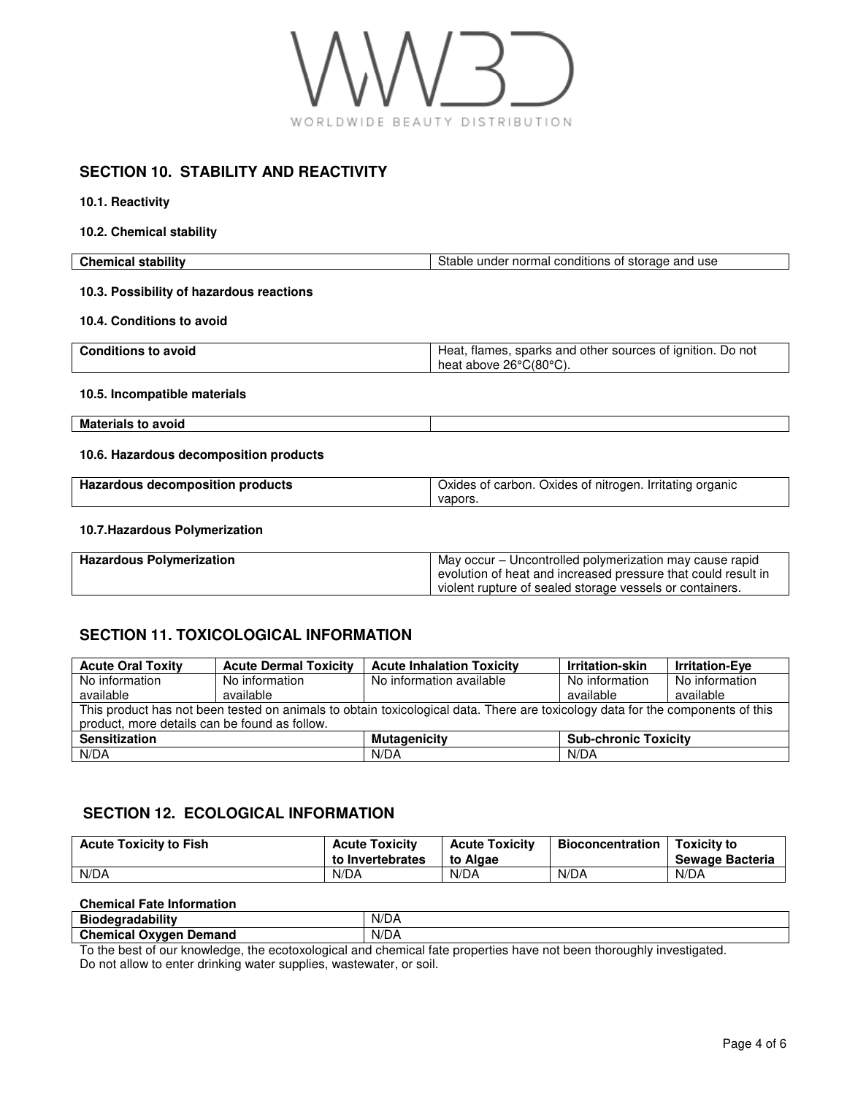

### **SECTION 10. STABILITY AND REACTIVITY**

**10.1. Reactivity** 

**10.2. Chemical stability** 

| <b>Chemical stability</b>                | Stable under normal conditions of storage and use                                    |
|------------------------------------------|--------------------------------------------------------------------------------------|
| 10.3. Possibility of hazardous reactions |                                                                                      |
| 10.4. Conditions to avoid                |                                                                                      |
| <b>Conditions to avoid</b>               | Heat, flames, sparks and other sources of ignition. Do not<br>heat above 26°C(80°C). |
| 10.5. Incompatible materials             |                                                                                      |
| <b>Materials to avoid</b>                |                                                                                      |
| 10.6. Hazardous decomposition products   |                                                                                      |
| Hazardous decomposition products         | Oxides of carbon. Oxides of nitrogen. Irritating organic<br>vapors.                  |
| 10.7. Hazardous Polymerization           |                                                                                      |

#### **Hazardous Polymerization**  May occur – Uncontrolled polymerization may cause rapid evolution of heat and increased pressure that could result in violent rupture of sealed storage vessels or containers.

# **SECTION 11. TOXICOLOGICAL INFORMATION**

| <b>Acute Oral Toxity</b>                                                                                                       | <b>Acute Dermal Toxicity</b> | <b>Acute Inhalation Toxicity</b> | Irritation-skin             | <b>Irritation-Eve</b> |
|--------------------------------------------------------------------------------------------------------------------------------|------------------------------|----------------------------------|-----------------------------|-----------------------|
| No information                                                                                                                 | No information               | No information available         | No information              | No information        |
| available                                                                                                                      | available                    |                                  | available                   | available             |
| This product has not been tested on animals to obtain toxicological data. There are toxicology data for the components of this |                              |                                  |                             |                       |
| product, more details can be found as follow.                                                                                  |                              |                                  |                             |                       |
| <b>Sensitization</b>                                                                                                           |                              | <b>Mutagenicity</b>              | <b>Sub-chronic Toxicity</b> |                       |
| N/DA                                                                                                                           |                              | N/DA                             | N/DA                        |                       |

# **SECTION 12. ECOLOGICAL INFORMATION**

| <b>Acute Toxicity to Fish</b> | <b>Acute Toxicity</b><br>to Invertebrates | <b>Acute Toxicity</b><br>to Algae | Bioconcentration | <b>Toxicity to</b><br>Sewage Bacteria |
|-------------------------------|-------------------------------------------|-----------------------------------|------------------|---------------------------------------|
| N/DA                          | N/DA                                      | N/DA                              | N/DA             | N/DA                                  |

### **Chemical Fate Information**

| Bio                                          |  |
|----------------------------------------------|--|
| N/DA<br>Chemical<br>Demand<br>Oxygen<br>ncar |  |

To the best of our knowledge, the ecotoxological and chemical fate properties have not been thoroughly investigated. Do not allow to enter drinking water supplies, wastewater, or soil.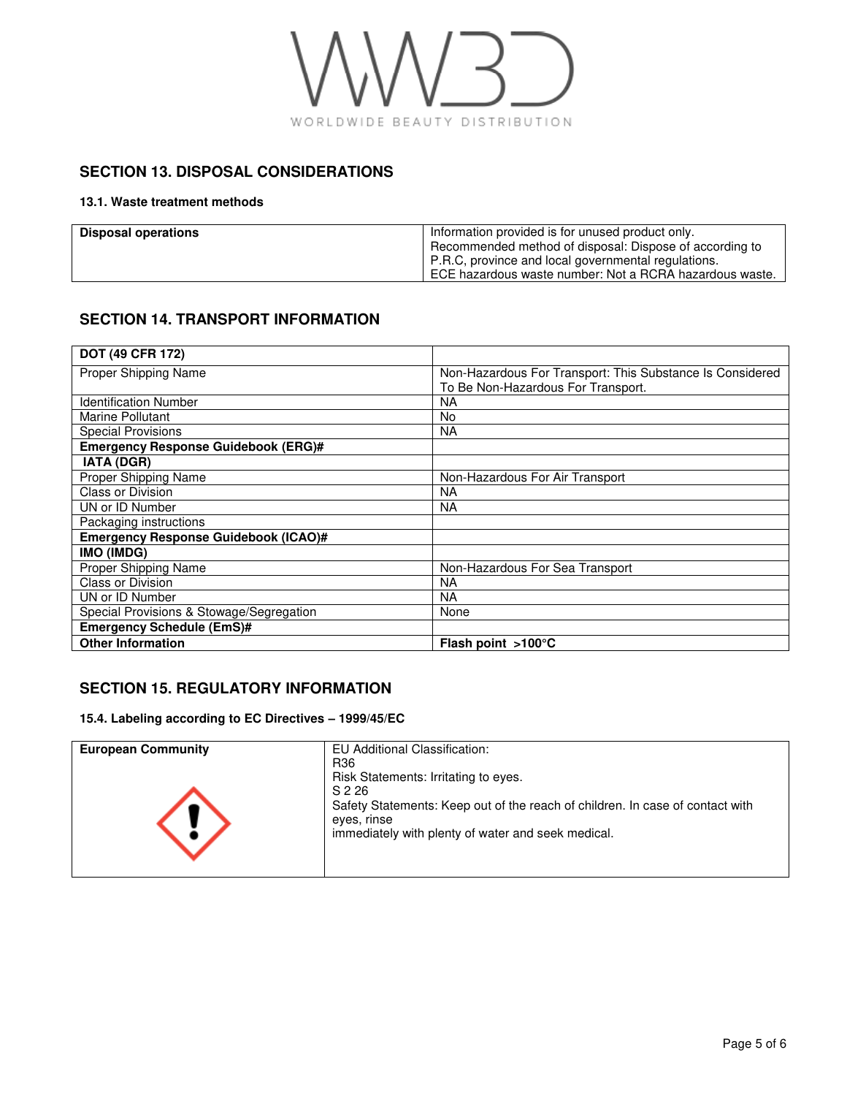

# **SECTION 13. DISPOSAL CONSIDERATIONS**

### **13.1. Waste treatment methods**

| Disposal operations | Information provided is for unused product only.        |
|---------------------|---------------------------------------------------------|
|                     | Recommended method of disposal: Dispose of according to |
|                     | P.R.C, province and local governmental regulations.     |
|                     | ECE hazardous waste number: Not a RCRA hazardous waste. |

# **SECTION 14. TRANSPORT INFORMATION**

| DOT (49 CFR 172)                            |                                                           |
|---------------------------------------------|-----------------------------------------------------------|
| Proper Shipping Name                        | Non-Hazardous For Transport: This Substance Is Considered |
|                                             | To Be Non-Hazardous For Transport.                        |
| <b>Identification Number</b>                | <b>NA</b>                                                 |
| Marine Pollutant                            | No                                                        |
| <b>Special Provisions</b>                   | <b>NA</b>                                                 |
| <b>Emergency Response Guidebook (ERG)#</b>  |                                                           |
| <b>IATA (DGR)</b>                           |                                                           |
| Proper Shipping Name                        | Non-Hazardous For Air Transport                           |
| <b>Class or Division</b>                    | ΝA                                                        |
| UN or ID Number                             | <b>NA</b>                                                 |
| Packaging instructions                      |                                                           |
| <b>Emergency Response Guidebook (ICAO)#</b> |                                                           |
| IMO (IMDG)                                  |                                                           |
| Proper Shipping Name                        | Non-Hazardous For Sea Transport                           |
| <b>Class or Division</b>                    | <b>NA</b>                                                 |
| UN or ID Number                             | <b>NA</b>                                                 |
| Special Provisions & Stowage/Segregation    | None                                                      |
| <b>Emergency Schedule (EmS)#</b>            |                                                           |
| <b>Other Information</b>                    | Flash point $>100^{\circ}$ C                              |

# **SECTION 15. REGULATORY INFORMATION**

**15.4. Labeling according to EC Directives – 1999/45/EC** 

| <b>European Community</b> | EU Additional Classification:                                                 |
|---------------------------|-------------------------------------------------------------------------------|
|                           | R <sub>36</sub>                                                               |
|                           | Risk Statements: Irritating to eyes.                                          |
|                           | S 2 26                                                                        |
|                           | Safety Statements: Keep out of the reach of children. In case of contact with |
|                           | eves, rinse<br>immediately with plenty of water and seek medical.             |
|                           |                                                                               |
|                           |                                                                               |
|                           |                                                                               |